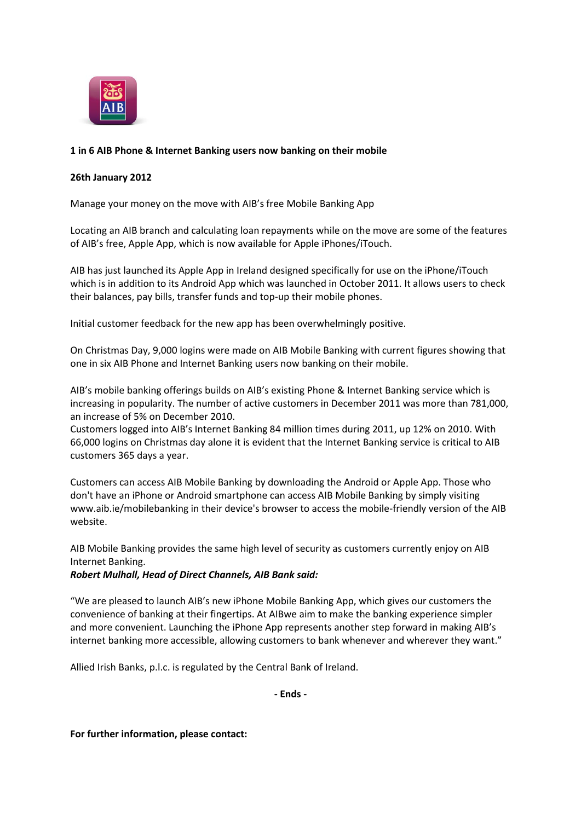

## **1 in 6 AIB Phone & Internet Banking users now banking on their mobile**

## **26th January 2012**

Manage your money on the move with AIB's free Mobile Banking App

Locating an AIB branch and calculating loan repayments while on the move are some of the features of AIB's free, Apple App, which is now available for Apple iPhones/iTouch.

AIB has just launched its Apple App in Ireland designed specifically for use on the iPhone/iTouch which is in addition to its Android App which was launched in October 2011. It allows users to check their balances, pay bills, transfer funds and top-up their mobile phones.

Initial customer feedback for the new app has been overwhelmingly positive.

On Christmas Day, 9,000 logins were made on AIB Mobile Banking with current figures showing that one in six AIB Phone and Internet Banking users now banking on their mobile.

AIB's mobile banking offerings builds on AIB's existing Phone & Internet Banking service which is increasing in popularity. The number of active customers in December 2011 was more than 781,000, an increase of 5% on December 2010.

Customers logged into AIB's Internet Banking 84 million times during 2011, up 12% on 2010. With 66,000 logins on Christmas day alone it is evident that the Internet Banking service is critical to AIB customers 365 days a year.

Customers can access AIB Mobile Banking by downloading the Android or Apple App. Those who don't have an iPhone or Android smartphone can access AIB Mobile Banking by simply visiting www.aib.ie/mobilebanking in their device's browser to access the mobile-friendly version of the AIB website.

AIB Mobile Banking provides the same high level of security as customers currently enjoy on AIB Internet Banking.

## *Robert Mulhall, Head of Direct Channels, AIB Bank said:*

"We are pleased to launch AIB's new iPhone Mobile Banking App, which gives our customers the convenience of banking at their fingertips. At AIBwe aim to make the banking experience simpler and more convenient. Launching the iPhone App represents another step forward in making AIB's internet banking more accessible, allowing customers to bank whenever and wherever they want."

Allied Irish Banks, p.l.c. is regulated by the Central Bank of Ireland.

**- Ends -**

**For further information, please contact:**